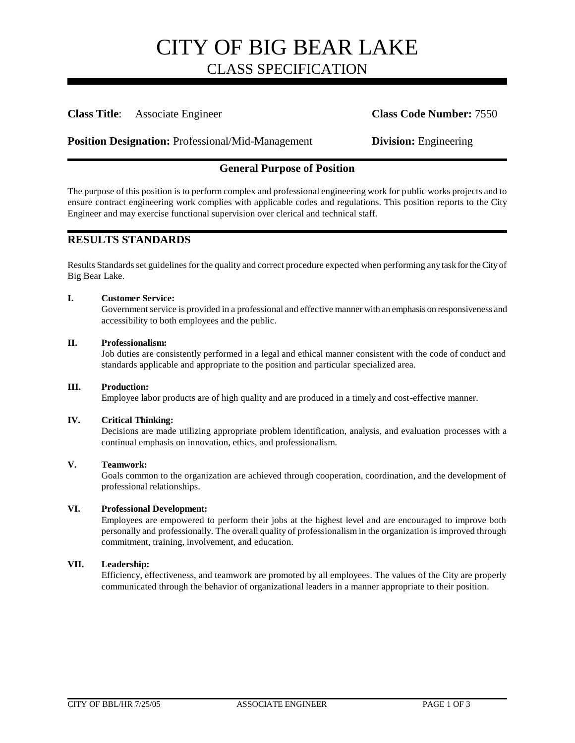# **Class Title**: Associate Engineer **Class Code Number:** 7550

**Position Designation:** Professional/Mid-Management **Division:** Engineering

# **General Purpose of Position**

The purpose of this position is to perform complex and professional engineering work for public works projects and to ensure contract engineering work complies with applicable codes and regulations. This position reports to the City Engineer and may exercise functional supervision over clerical and technical staff.

# **RESULTS STANDARDS**

Results Standards set guidelines for the quality and correct procedure expected when performing any task for the City of Big Bear Lake.

### **I. Customer Service:**

Government service is provided in a professional and effective manner with an emphasis on responsiveness and accessibility to both employees and the public.

### **II. Professionalism:**

Job duties are consistently performed in a legal and ethical manner consistent with the code of conduct and standards applicable and appropriate to the position and particular specialized area.

#### **III. Production:**

Employee labor products are of high quality and are produced in a timely and cost-effective manner.

### **IV. Critical Thinking:**

Decisions are made utilizing appropriate problem identification, analysis, and evaluation processes with a continual emphasis on innovation, ethics, and professionalism.

### **V. Teamwork:**

Goals common to the organization are achieved through cooperation, coordination, and the development of professional relationships.

#### **VI. Professional Development:**

Employees are empowered to perform their jobs at the highest level and are encouraged to improve both personally and professionally. The overall quality of professionalism in the organization is improved through commitment, training, involvement, and education.

#### **VII. Leadership:**

Efficiency, effectiveness, and teamwork are promoted by all employees. The values of the City are properly communicated through the behavior of organizational leaders in a manner appropriate to their position.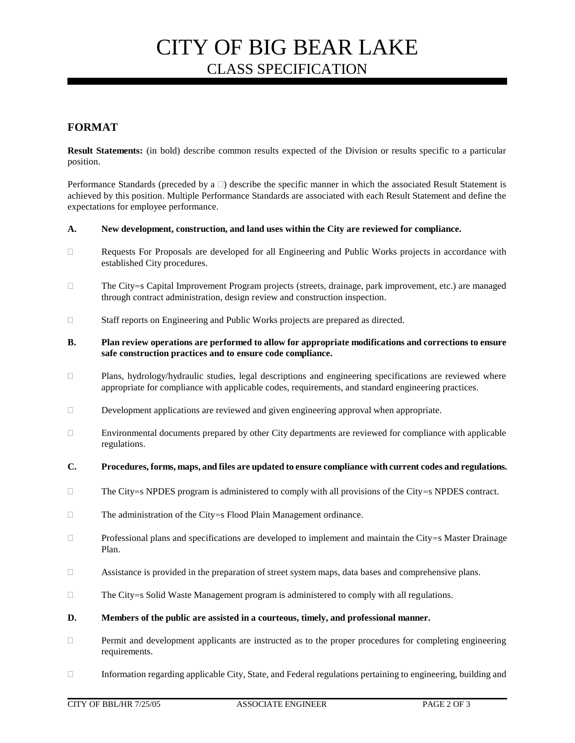# **FORMAT**

**Result Statements:** (in bold) describe common results expected of the Division or results specific to a particular position.

Performance Standards (preceded by a  $\Box$ ) describe the specific manner in which the associated Result Statement is achieved by this position. Multiple Performance Standards are associated with each Result Statement and define the expectations for employee performance.

### **A. New development, construction, and land uses within the City are reviewed for compliance.**

- Requests For Proposals are developed for all Engineering and Public Works projects in accordance with established City procedures.
- □ The City=s Capital Improvement Program projects (streets, drainage, park improvement, etc.) are managed through contract administration, design review and construction inspection.
- □ Staff reports on Engineering and Public Works projects are prepared as directed.
- **B. Plan review operations are performed to allow for appropriate modifications and corrections to ensure safe construction practices and to ensure code compliance.**
- $\Box$  Plans, hydrology/hydraulic studies, legal descriptions and engineering specifications are reviewed where appropriate for compliance with applicable codes, requirements, and standard engineering practices.
- $\Box$  Development applications are reviewed and given engineering approval when appropriate.
- Environmental documents prepared by other City departments are reviewed for compliance with applicable regulations.
- **C. Procedures, forms, maps, and files are updated to ensure compliance with current codes and regulations.**
- $\Box$  The City=s NPDES program is administered to comply with all provisions of the City=s NPDES contract.
- $\Box$  The administration of the City=s Flood Plain Management ordinance.
- $\Box$  Professional plans and specifications are developed to implement and maintain the City=s Master Drainage Plan.
- Assistance is provided in the preparation of street system maps, data bases and comprehensive plans.
- $\Box$  The City=s Solid Waste Management program is administered to comply with all regulations.
- **D. Members of the public are assisted in a courteous, timely, and professional manner.**
- Permit and development applicants are instructed as to the proper procedures for completing engineering requirements.
- Information regarding applicable City, State, and Federal regulations pertaining to engineering, building and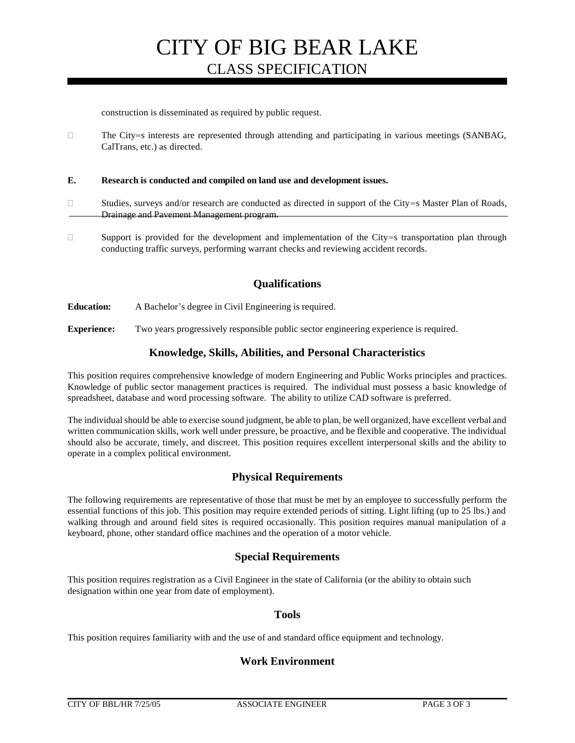construction is disseminated as required by public request.

 $\Box$  The City=s interests are represented through attending and participating in various meetings (SANBAG, CalTrans, etc.) as directed.

**E. Research is conducted and compiled on land use and development issues.**

- $\Box$  Studies, surveys and/or research are conducted as directed in support of the City=s Master Plan of Roads, Drainage and Pavement Management program.
- $\square$  Support is provided for the development and implementation of the City=s transportation plan through conducting traffic surveys, performing warrant checks and reviewing accident records.

# **Qualifications**

**Education:** A Bachelor's degree in Civil Engineering is required.

**Experience:** Two years progressively responsible public sector engineering experience is required.

### **Knowledge, Skills, Abilities, and Personal Characteristics**

This position requires comprehensive knowledge of modern Engineering and Public Works principles and practices. Knowledge of public sector management practices is required. The individual must possess a basic knowledge of spreadsheet, database and word processing software. The ability to utilize CAD software is preferred.

The individual should be able to exercise sound judgment, be able to plan, be well organized, have excellent verbal and written communication skills, work well under pressure, be proactive, and be flexible and cooperative. The individual should also be accurate, timely, and discreet. This position requires excellent interpersonal skills and the ability to operate in a complex political environment.

# **Physical Requirements**

The following requirements are representative of those that must be met by an employee to successfully perform the essential functions of this job. This position may require extended periods of sitting. Light lifting (up to 25 lbs.) and walking through and around field sites is required occasionally. This position requires manual manipulation of a keyboard, phone, other standard office machines and the operation of a motor vehicle.

# **Special Requirements**

This position requires registration as a Civil Engineer in the state of California (or the ability to obtain such designation within one year from date of employment).

### **Tools**

This position requires familiarity with and the use of and standard office equipment and technology.

# **Work Environment**